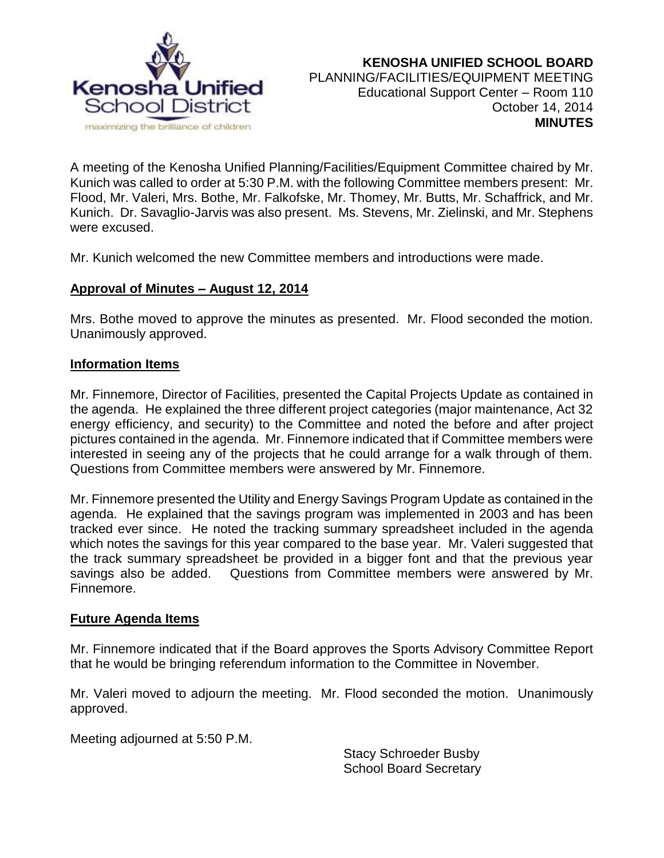

A meeting of the Kenosha Unified Planning/Facilities/Equipment Committee chaired by Mr. Kunich was called to order at 5:30 P.M. with the following Committee members present: Mr. Flood, Mr. Valeri, Mrs. Bothe, Mr. Falkofske, Mr. Thomey, Mr. Butts, Mr. Schaffrick, and Mr. Kunich. Dr. Savaglio-Jarvis was also present. Ms. Stevens, Mr. Zielinski, and Mr. Stephens were excused.

Mr. Kunich welcomed the new Committee members and introductions were made.

### **Approval of Minutes – August 12, 2014**

Mrs. Bothe moved to approve the minutes as presented. Mr. Flood seconded the motion. Unanimously approved.

#### **Information Items**

Mr. Finnemore, Director of Facilities, presented the Capital Projects Update as contained in the agenda. He explained the three different project categories (major maintenance, Act 32 energy efficiency, and security) to the Committee and noted the before and after project pictures contained in the agenda. Mr. Finnemore indicated that if Committee members were interested in seeing any of the projects that he could arrange for a walk through of them. Questions from Committee members were answered by Mr. Finnemore.

Mr. Finnemore presented the Utility and Energy Savings Program Update as contained in the agenda. He explained that the savings program was implemented in 2003 and has been tracked ever since. He noted the tracking summary spreadsheet included in the agenda which notes the savings for this year compared to the base year. Mr. Valeri suggested that the track summary spreadsheet be provided in a bigger font and that the previous year savings also be added. Questions from Committee members were answered by Mr. Finnemore.

### **Future Agenda Items**

Mr. Finnemore indicated that if the Board approves the Sports Advisory Committee Report that he would be bringing referendum information to the Committee in November.

Mr. Valeri moved to adjourn the meeting. Mr. Flood seconded the motion. Unanimously approved.

Meeting adjourned at 5:50 P.M.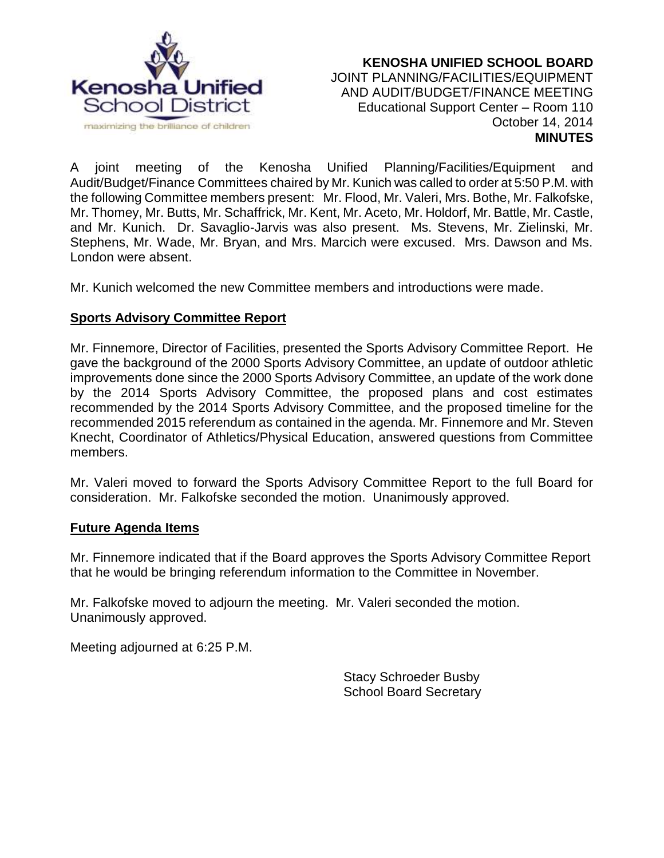

#### **KENOSHA UNIFIED SCHOOL BOARD** JOINT PLANNING/FACILITIES/EQUIPMENT AND AUDIT/BUDGET/FINANCE MEETING Educational Support Center – Room 110 October 14, 2014 **MINUTES**

A joint meeting of the Kenosha Unified Planning/Facilities/Equipment and Audit/Budget/Finance Committees chaired by Mr. Kunich was called to order at 5:50 P.M. with the following Committee members present: Mr. Flood, Mr. Valeri, Mrs. Bothe, Mr. Falkofske, Mr. Thomey, Mr. Butts, Mr. Schaffrick, Mr. Kent, Mr. Aceto, Mr. Holdorf, Mr. Battle, Mr. Castle, and Mr. Kunich. Dr. Savaglio-Jarvis was also present. Ms. Stevens, Mr. Zielinski, Mr. Stephens, Mr. Wade, Mr. Bryan, and Mrs. Marcich were excused. Mrs. Dawson and Ms. London were absent.

Mr. Kunich welcomed the new Committee members and introductions were made.

# **Sports Advisory Committee Report**

Mr. Finnemore, Director of Facilities, presented the Sports Advisory Committee Report. He gave the background of the 2000 Sports Advisory Committee, an update of outdoor athletic improvements done since the 2000 Sports Advisory Committee, an update of the work done by the 2014 Sports Advisory Committee, the proposed plans and cost estimates recommended by the 2014 Sports Advisory Committee, and the proposed timeline for the recommended 2015 referendum as contained in the agenda. Mr. Finnemore and Mr. Steven Knecht, Coordinator of Athletics/Physical Education, answered questions from Committee members.

Mr. Valeri moved to forward the Sports Advisory Committee Report to the full Board for consideration. Mr. Falkofske seconded the motion. Unanimously approved.

#### **Future Agenda Items**

Mr. Finnemore indicated that if the Board approves the Sports Advisory Committee Report that he would be bringing referendum information to the Committee in November.

Mr. Falkofske moved to adjourn the meeting. Mr. Valeri seconded the motion. Unanimously approved.

Meeting adjourned at 6:25 P.M.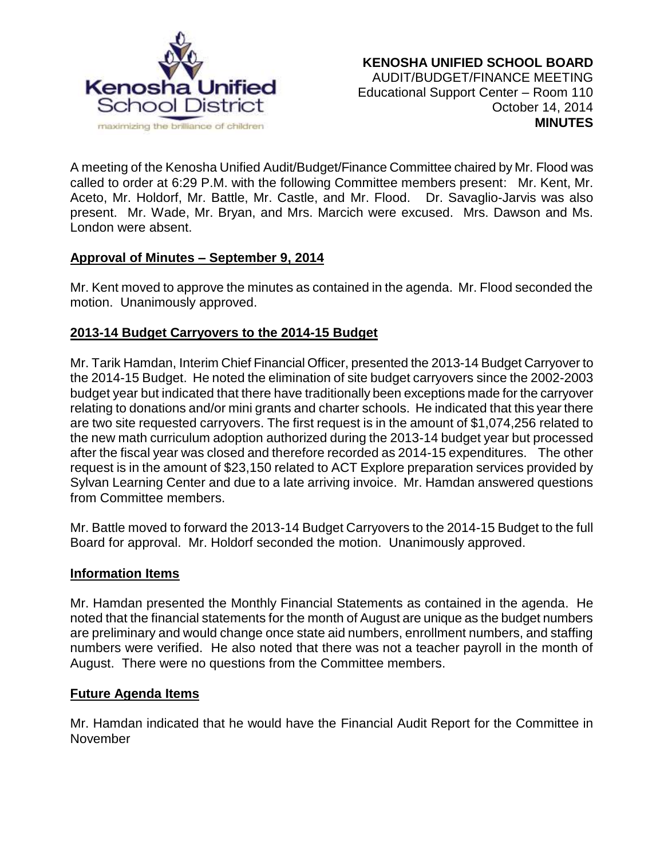

A meeting of the Kenosha Unified Audit/Budget/Finance Committee chaired by Mr. Flood was called to order at 6:29 P.M. with the following Committee members present: Mr. Kent, Mr. Aceto, Mr. Holdorf, Mr. Battle, Mr. Castle, and Mr. Flood. Dr. Savaglio-Jarvis was also present. Mr. Wade, Mr. Bryan, and Mrs. Marcich were excused. Mrs. Dawson and Ms. London were absent.

# **Approval of Minutes – September 9, 2014**

Mr. Kent moved to approve the minutes as contained in the agenda. Mr. Flood seconded the motion. Unanimously approved.

# **2013-14 Budget Carryovers to the 2014-15 Budget**

Mr. Tarik Hamdan, Interim Chief Financial Officer, presented the 2013-14 Budget Carryover to the 2014-15 Budget. He noted the elimination of site budget carryovers since the 2002-2003 budget year but indicated that there have traditionally been exceptions made for the carryover relating to donations and/or mini grants and charter schools. He indicated that this year there are two site requested carryovers. The first request is in the amount of \$1,074,256 related to the new math curriculum adoption authorized during the 2013-14 budget year but processed after the fiscal year was closed and therefore recorded as 2014-15 expenditures. The other request is in the amount of \$23,150 related to ACT Explore preparation services provided by Sylvan Learning Center and due to a late arriving invoice. Mr. Hamdan answered questions from Committee members.

Mr. Battle moved to forward the 2013-14 Budget Carryovers to the 2014-15 Budget to the full Board for approval. Mr. Holdorf seconded the motion. Unanimously approved.

#### **Information Items**

Mr. Hamdan presented the Monthly Financial Statements as contained in the agenda. He noted that the financial statements for the month of August are unique as the budget numbers are preliminary and would change once state aid numbers, enrollment numbers, and staffing numbers were verified. He also noted that there was not a teacher payroll in the month of August. There were no questions from the Committee members.

### **Future Agenda Items**

Mr. Hamdan indicated that he would have the Financial Audit Report for the Committee in November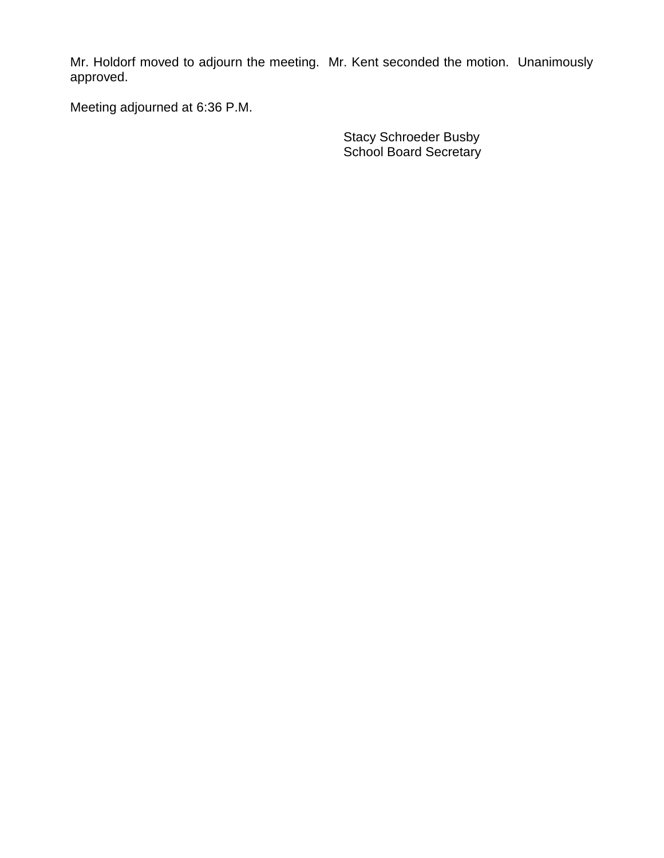Mr. Holdorf moved to adjourn the meeting. Mr. Kent seconded the motion. Unanimously approved.

Meeting adjourned at 6:36 P.M.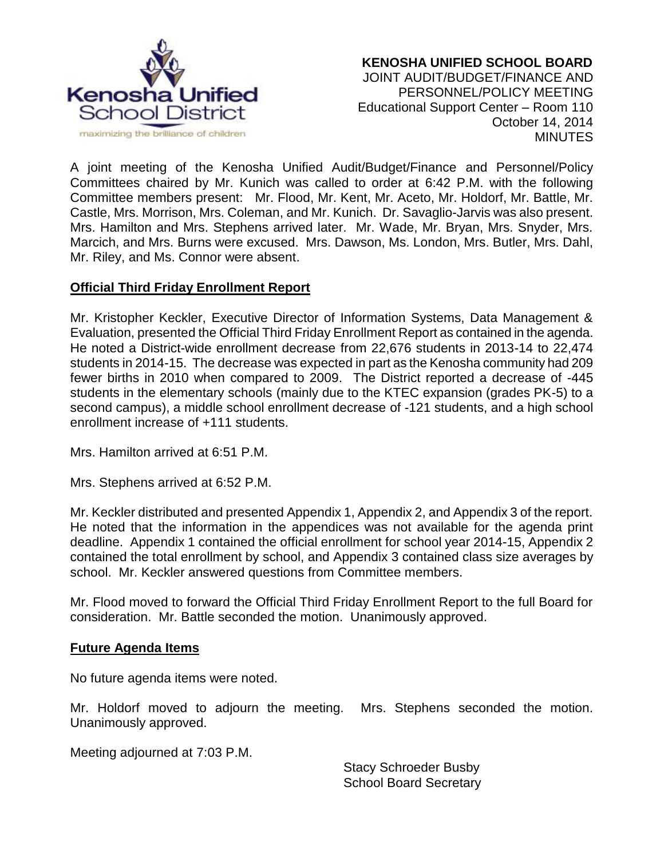

#### **KENOSHA UNIFIED SCHOOL BOARD** JOINT AUDIT/BUDGET/FINANCE AND PERSONNEL/POLICY MEETING Educational Support Center – Room 110 October 14, 2014 **MINUTES**

A joint meeting of the Kenosha Unified Audit/Budget/Finance and Personnel/Policy Committees chaired by Mr. Kunich was called to order at 6:42 P.M. with the following Committee members present: Mr. Flood, Mr. Kent, Mr. Aceto, Mr. Holdorf, Mr. Battle, Mr. Castle, Mrs. Morrison, Mrs. Coleman, and Mr. Kunich. Dr. Savaglio-Jarvis was also present. Mrs. Hamilton and Mrs. Stephens arrived later. Mr. Wade, Mr. Bryan, Mrs. Snyder, Mrs. Marcich, and Mrs. Burns were excused. Mrs. Dawson, Ms. London, Mrs. Butler, Mrs. Dahl, Mr. Riley, and Ms. Connor were absent.

### **Official Third Friday Enrollment Report**

Mr. Kristopher Keckler, Executive Director of Information Systems, Data Management & Evaluation, presented the Official Third Friday Enrollment Report as contained in the agenda. He noted a District-wide enrollment decrease from 22,676 students in 2013-14 to 22,474 students in 2014-15. The decrease was expected in part as the Kenosha community had 209 fewer births in 2010 when compared to 2009. The District reported a decrease of -445 students in the elementary schools (mainly due to the KTEC expansion (grades PK-5) to a second campus), a middle school enrollment decrease of -121 students, and a high school enrollment increase of +111 students.

Mrs. Hamilton arrived at 6:51 P.M.

Mrs. Stephens arrived at 6:52 P.M.

Mr. Keckler distributed and presented Appendix 1, Appendix 2, and Appendix 3 of the report. He noted that the information in the appendices was not available for the agenda print deadline. Appendix 1 contained the official enrollment for school year 2014-15, Appendix 2 contained the total enrollment by school, and Appendix 3 contained class size averages by school. Mr. Keckler answered questions from Committee members.

Mr. Flood moved to forward the Official Third Friday Enrollment Report to the full Board for consideration. Mr. Battle seconded the motion. Unanimously approved.

### **Future Agenda Items**

No future agenda items were noted.

Mr. Holdorf moved to adjourn the meeting. Mrs. Stephens seconded the motion. Unanimously approved.

Meeting adjourned at 7:03 P.M.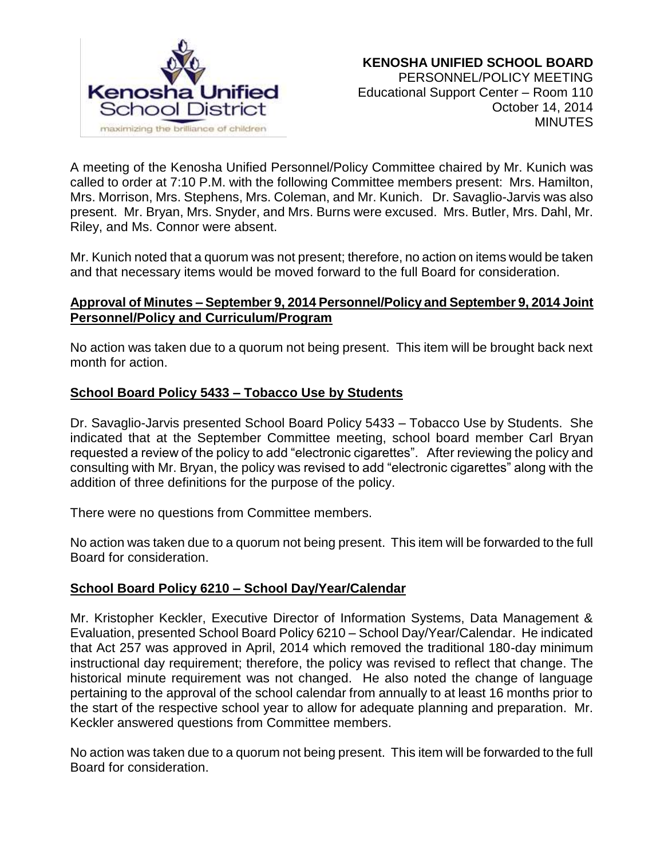

A meeting of the Kenosha Unified Personnel/Policy Committee chaired by Mr. Kunich was called to order at 7:10 P.M. with the following Committee members present: Mrs. Hamilton, Mrs. Morrison, Mrs. Stephens, Mrs. Coleman, and Mr. Kunich. Dr. Savaglio-Jarvis was also present. Mr. Bryan, Mrs. Snyder, and Mrs. Burns were excused. Mrs. Butler, Mrs. Dahl, Mr. Riley, and Ms. Connor were absent.

Mr. Kunich noted that a quorum was not present; therefore, no action on items would be taken and that necessary items would be moved forward to the full Board for consideration.

### **Approval of Minutes – September 9, 2014 Personnel/Policy and September 9, 2014 Joint Personnel/Policy and Curriculum/Program**

No action was taken due to a quorum not being present. This item will be brought back next month for action.

# **School Board Policy 5433 – Tobacco Use by Students**

Dr. Savaglio-Jarvis presented School Board Policy 5433 – Tobacco Use by Students. She indicated that at the September Committee meeting, school board member Carl Bryan requested a review of the policy to add "electronic cigarettes". After reviewing the policy and consulting with Mr. Bryan, the policy was revised to add "electronic cigarettes" along with the addition of three definitions for the purpose of the policy.

There were no questions from Committee members.

No action was taken due to a quorum not being present. This item will be forwarded to the full Board for consideration.

### **School Board Policy 6210 – School Day/Year/Calendar**

Mr. Kristopher Keckler, Executive Director of Information Systems, Data Management & Evaluation, presented School Board Policy 6210 – School Day/Year/Calendar. He indicated that Act 257 was approved in April, 2014 which removed the traditional 180-day minimum instructional day requirement; therefore, the policy was revised to reflect that change. The historical minute requirement was not changed. He also noted the change of language pertaining to the approval of the school calendar from annually to at least 16 months prior to the start of the respective school year to allow for adequate planning and preparation. Mr. Keckler answered questions from Committee members.

No action was taken due to a quorum not being present. This item will be forwarded to the full Board for consideration.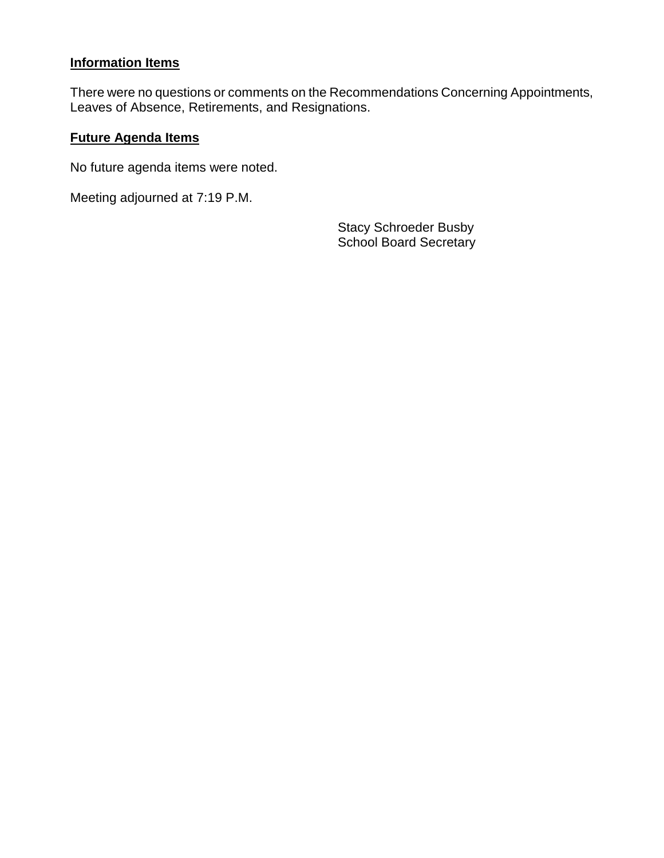# **Information Items**

There were no questions or comments on the Recommendations Concerning Appointments, Leaves of Absence, Retirements, and Resignations.

## **Future Agenda Items**

No future agenda items were noted.

Meeting adjourned at 7:19 P.M.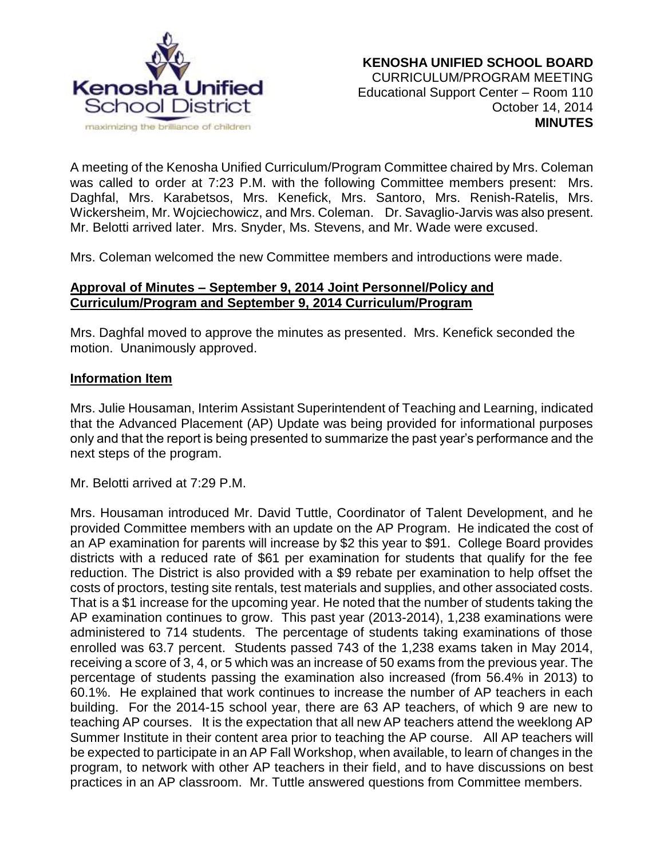

A meeting of the Kenosha Unified Curriculum/Program Committee chaired by Mrs. Coleman was called to order at 7:23 P.M. with the following Committee members present: Mrs. Daghfal, Mrs. Karabetsos, Mrs. Kenefick, Mrs. Santoro, Mrs. Renish-Ratelis, Mrs. Wickersheim, Mr. Wojciechowicz, and Mrs. Coleman. Dr. Savaglio-Jarvis was also present. Mr. Belotti arrived later. Mrs. Snyder, Ms. Stevens, and Mr. Wade were excused.

Mrs. Coleman welcomed the new Committee members and introductions were made.

### **Approval of Minutes – September 9, 2014 Joint Personnel/Policy and Curriculum/Program and September 9, 2014 Curriculum/Program**

Mrs. Daghfal moved to approve the minutes as presented. Mrs. Kenefick seconded the motion. Unanimously approved.

#### **Information Item**

Mrs. Julie Housaman, Interim Assistant Superintendent of Teaching and Learning, indicated that the Advanced Placement (AP) Update was being provided for informational purposes only and that the report is being presented to summarize the past year's performance and the next steps of the program.

Mr. Belotti arrived at 7:29 P.M.

Mrs. Housaman introduced Mr. David Tuttle, Coordinator of Talent Development, and he provided Committee members with an update on the AP Program. He indicated the cost of an AP examination for parents will increase by \$2 this year to \$91. College Board provides districts with a reduced rate of \$61 per examination for students that qualify for the fee reduction. The District is also provided with a \$9 rebate per examination to help offset the costs of proctors, testing site rentals, test materials and supplies, and other associated costs. That is a \$1 increase for the upcoming year. He noted that the number of students taking the AP examination continues to grow. This past year (2013-2014), 1,238 examinations were administered to 714 students. The percentage of students taking examinations of those enrolled was 63.7 percent. Students passed 743 of the 1,238 exams taken in May 2014, receiving a score of 3, 4, or 5 which was an increase of 50 exams from the previous year. The percentage of students passing the examination also increased (from 56.4% in 2013) to 60.1%. He explained that work continues to increase the number of AP teachers in each building. For the 2014-15 school year, there are 63 AP teachers, of which 9 are new to teaching AP courses. It is the expectation that all new AP teachers attend the weeklong AP Summer Institute in their content area prior to teaching the AP course. All AP teachers will be expected to participate in an AP Fall Workshop, when available, to learn of changes in the program, to network with other AP teachers in their field, and to have discussions on best practices in an AP classroom. Mr. Tuttle answered questions from Committee members.